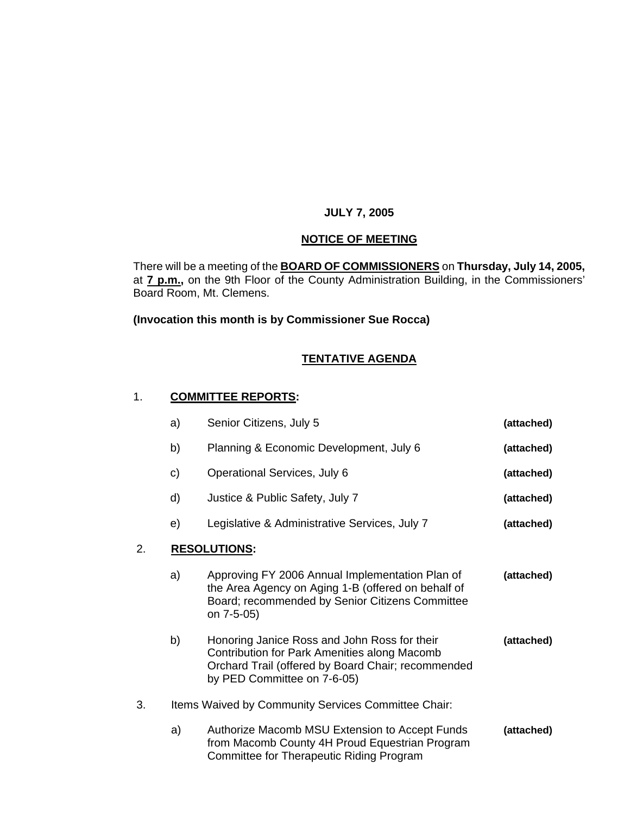### **JULY 7, 2005**

# **NOTICE OF MEETING**

There will be a meeting of the **BOARD OF COMMISSIONERS** on **Thursday, July 14, 2005,**  at **7 p.m.,** on the 9th Floor of the County Administration Building, in the Commissioners' Board Room, Mt. Clemens.

### **(Invocation this month is by Commissioner Sue Rocca)**

# **TENTATIVE AGENDA**

### 1. **COMMITTEE REPORTS:**

|    | a)                                                  | Senior Citizens, July 5                                                                                                                                                           | (attached) |  |
|----|-----------------------------------------------------|-----------------------------------------------------------------------------------------------------------------------------------------------------------------------------------|------------|--|
|    | b)                                                  | Planning & Economic Development, July 6                                                                                                                                           | (attached) |  |
|    | C)                                                  | Operational Services, July 6                                                                                                                                                      | (attached) |  |
|    | d)                                                  | Justice & Public Safety, July 7                                                                                                                                                   | (attached) |  |
|    | e)                                                  | Legislative & Administrative Services, July 7                                                                                                                                     | (attached) |  |
| 2. |                                                     | <b>RESOLUTIONS:</b>                                                                                                                                                               |            |  |
|    | a)                                                  | Approving FY 2006 Annual Implementation Plan of<br>the Area Agency on Aging 1-B (offered on behalf of<br>Board; recommended by Senior Citizens Committee<br>on 7-5-05)            | (attached) |  |
|    | b)                                                  | Honoring Janice Ross and John Ross for their<br>Contribution for Park Amenities along Macomb<br>Orchard Trail (offered by Board Chair; recommended<br>by PED Committee on 7-6-05) | (attached) |  |
| 3. | Items Waived by Community Services Committee Chair: |                                                                                                                                                                                   |            |  |
|    | a)                                                  | Authorize Macomb MSU Extension to Accept Funds<br>from Macomb County 4H Proud Equestrian Program<br>Committee for Therapeutic Riding Program                                      | (attached) |  |